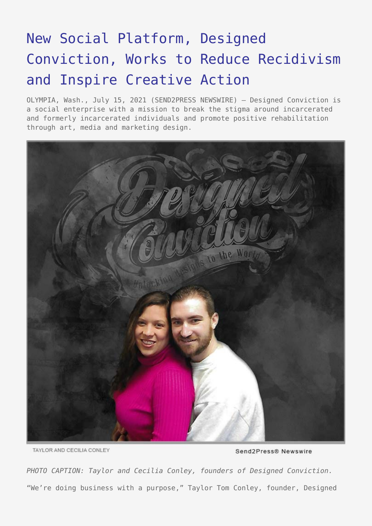## [New Social Platform, Designed](https://www.send2press.com/wire/new-social-platform-designed-conviction-works-to-reduce-recidivism-and-inspire-creative-action/) [Conviction, Works to Reduce Recidivism](https://www.send2press.com/wire/new-social-platform-designed-conviction-works-to-reduce-recidivism-and-inspire-creative-action/) [and Inspire Creative Action](https://www.send2press.com/wire/new-social-platform-designed-conviction-works-to-reduce-recidivism-and-inspire-creative-action/)

OLYMPIA, Wash., July 15, 2021 (SEND2PRESS NEWSWIRE) — Designed Conviction is a social enterprise with a mission to break the stigma around incarcerated and formerly incarcerated individuals and promote positive rehabilitation through art, media and marketing design.



TAYLOR AND CECILIA CONLEY

*PHOTO CAPTION: Taylor and Cecilia Conley, founders of Designed Conviction.* "We're doing business with a purpose," Taylor Tom Conley, founder, Designed

Send2Press® Newswire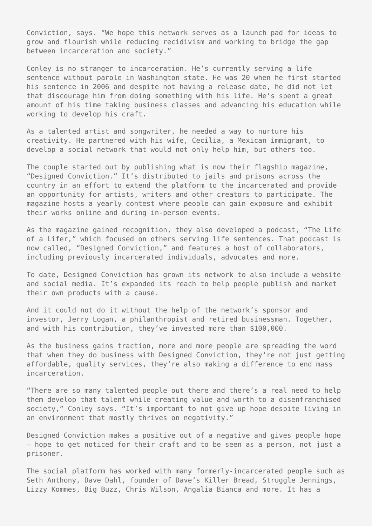Conviction, says. "We hope this network serves as a launch pad for ideas to grow and flourish while reducing recidivism and working to bridge the gap between incarceration and society."

Conley is no stranger to incarceration. He's currently serving a life sentence without parole in Washington state. He was 20 when he first started his sentence in 2006 and despite not having a release date, he did not let that discourage him from doing something with his life. He's spent a great amount of his time taking business classes and advancing his education while working to develop his craft.

As a talented artist and songwriter, he needed a way to nurture his creativity. He partnered with his wife, Cecilia, a Mexican immigrant, to develop a social network that would not only help him, but others too.

The couple started out by publishing what is now their flagship magazine, "Designed Conviction." It's distributed to jails and prisons across the country in an effort to extend the platform to the incarcerated and provide an opportunity for artists, writers and other creators to participate. The magazine hosts a yearly contest where people can gain exposure and exhibit their works online and during in-person events.

As the magazine gained recognition, they also developed a podcast, "The Life of a Lifer," which focused on others serving life sentences. That podcast is now called, "Designed Conviction," and features a host of collaborators, including previously incarcerated individuals, advocates and more.

To date, Designed Conviction has grown its network to also include a website and social media. It's expanded its reach to help people publish and market their own products with a cause.

And it could not do it without the help of the network's sponsor and investor, Jerry Logan, a philanthropist and retired businessman. Together, and with his contribution, they've invested more than \$100,000.

As the business gains traction, more and more people are spreading the word that when they do business with Designed Conviction, they're not just getting affordable, quality services, they're also making a difference to end mass incarceration.

"There are so many talented people out there and there's a real need to help them develop that talent while creating value and worth to a disenfranchised society," Conley says. "It's important to not give up hope despite living in an environment that mostly thrives on negativity."

Designed Conviction makes a positive out of a negative and gives people hope – hope to get noticed for their craft and to be seen as a person, not just a prisoner.

The social platform has worked with many formerly-incarcerated people such as Seth Anthony, Dave Dahl, founder of Dave's Killer Bread, Struggle Jennings, Lizzy Kommes, Big Buzz, Chris Wilson, Angalia Bianca and more. It has a